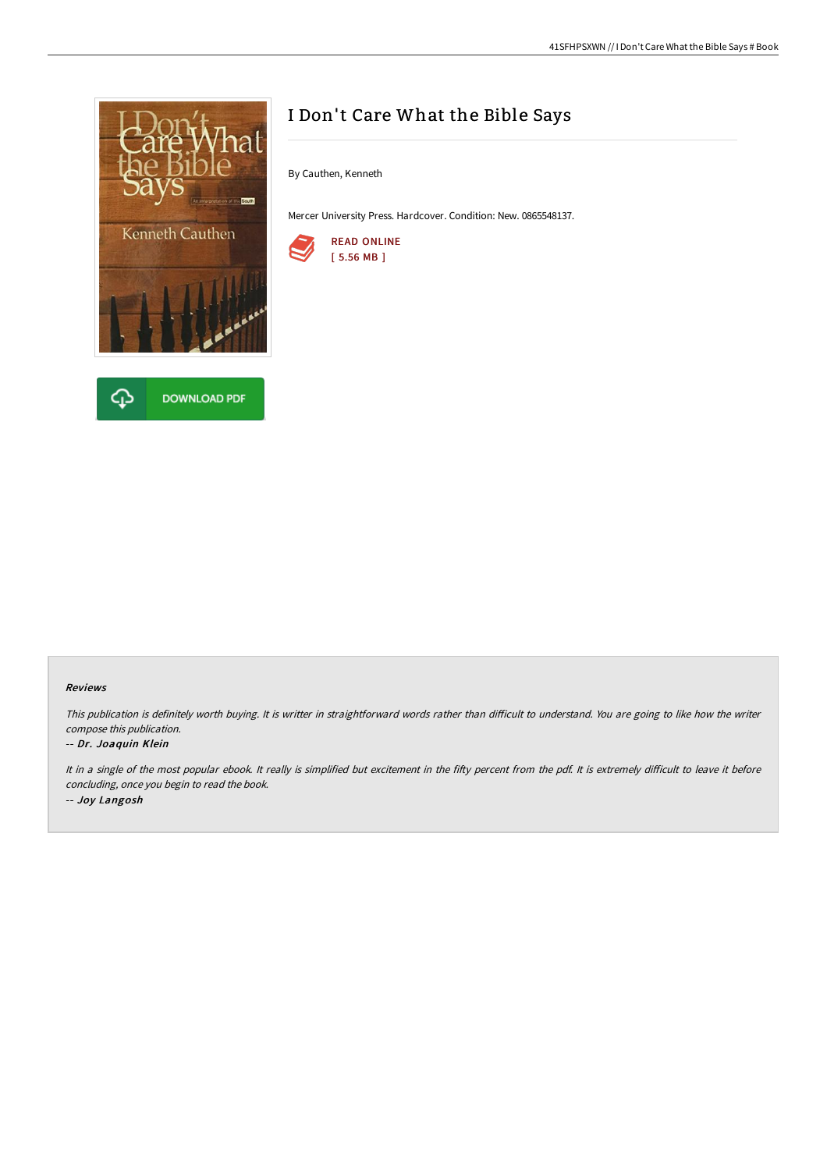



# I Don't Care What the Bible Says

By Cauthen, Kenneth

Mercer University Press. Hardcover. Condition: New. 0865548137.



#### Reviews

This publication is definitely worth buying. It is writter in straightforward words rather than difficult to understand. You are going to like how the writer compose this publication.

#### -- Dr. Joaquin Klein

It in a single of the most popular ebook. It really is simplified but excitement in the fifty percent from the pdf. It is extremely difficult to leave it before concluding, once you begin to read the book. -- Joy Langosh